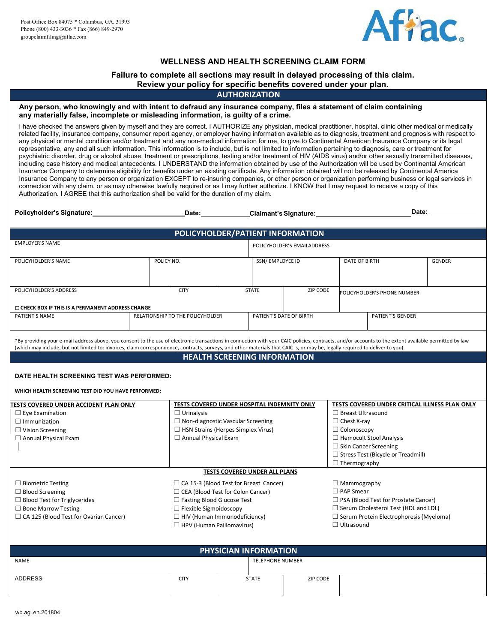

## **WELLNESS AND HEALTH SCREENING CLAIM FORM**

## **Failure to complete all sections may result in delayed processing of this claim.**

## **Review your policy for specific benefits covered under your plan.**

### **AUTHORIZATION**

### **Any person, who knowingly and with intent to defraud any insurance company, files a statement of claim containing any materially false, incomplete or misleading information, is guilty of a crime.**

I have checked the answers given by myself and they are correct. I AUTHORIZE any physician, medical practitioner, hospital, clinic other medical or medically related facility, insurance company, consumer report agency, or employer having information available as to diagnosis, treatment and prognosis with respect to any physical or mental condition and/or treatment and any non-medical information for me, to give to Continental American Insurance Company or its legal representative, any and all such information. This information is to include, but is not limited to information pertaining to diagnosis, care or treatment for psychiatric disorder, drug or alcohol abuse, treatment or prescriptions, testing and/or treatment of HIV (AIDS virus) and/or other sexually transmitted diseases, including case history and medical antecedents. I UNDERSTAND the information obtained by use of the Authorization will be used by Continental American Insurance Company to determine eligibility for benefits under an existing certificate. Any information obtained will not be released by Continental America Insurance Company to any person or organization EXCEPT to re-insuring companies, or other person or organization performing business or legal services in connection with any claim, or as may otherwise lawfully required or as I may further authorize. I KNOW that I may request to receive a copy of this Authorization. I AGREE that this authorization shall be valid for the duration of my claim.

|  | Policyholder's<br>'s Sianature: | Date | <b>Claimant's Signature:</b> | Date |  |
|--|---------------------------------|------|------------------------------|------|--|
|--|---------------------------------|------|------------------------------|------|--|

| POLICYHOLDER/PATIENT INFORMATION                         |                                  |              |                             |                 |                             |                         |               |
|----------------------------------------------------------|----------------------------------|--------------|-----------------------------|-----------------|-----------------------------|-------------------------|---------------|
| <b>EMPLOYER'S NAME</b>                                   |                                  |              | POLICYHOLDER'S EMAILADDRESS |                 |                             |                         |               |
| POLICYHOLDER'S NAME                                      | POLICY NO.                       |              |                             | SSN/EMPLOYEE ID |                             | DATE OF BIRTH           | <b>GENDER</b> |
| POLICYHOLDER'S ADDRESS                                   | <b>CITY</b>                      | <b>STATE</b> |                             | ZIP CODE        | POLICYHOLDER'S PHONE NUMBER |                         |               |
| <b>O CHECK BOX IF THIS IS A PERMANENT ADDRESS CHANGE</b> |                                  |              |                             |                 |                             |                         |               |
| PATIENT'S NAME                                           | RELATIONSHIP TO THE POLICYHOLDER |              | PATIENT'S DATE OF BIRTH     |                 |                             | <b>PATIENT'S GENDER</b> |               |

\*By providing your e-mail address above, you consent to the use of electronic transactions in connection with your CAIC policies, contracts, and/or accounts to the extent available permitted by law (which may include, but not limited to: invoices, claim correspondence, contracts, surveys, and other materials that CAIC is, or may be, legally required to deliver to you).

### **HEALTH SCREENING INFORMATION**

### **DATE HEALTH SCREENING TEST WAS PERFORMED:**

#### **WHICH HEALTH SCREENING TEST DID YOU HAVE PERFORMED:**

| <b>ITESTS COVERED UNDER ACCIDENT PLAN ONLY</b> | TESTS COVERED UNDER HOSPITAL INDEMNITY ONLY   | TESTS COVERED UNDER CRITICAL ILLNESS PLAN ONLY |
|------------------------------------------------|-----------------------------------------------|------------------------------------------------|
| $\Box$ Eye Examination                         | $\Box$ Urinalysis                             | $\Box$ Breast Ultrasound                       |
| $\Box$ Immunization                            | $\Box$ Non-diagnostic Vascular Screening      | $\Box$ Chest X-ray                             |
| $\Box$ Vision Screening                        | $\Box$ HSN Strains (Herpes Simplex Virus)     | $\Box$ Colonoscopy                             |
| $\Box$ Annual Physical Exam                    | $\Box$ Annual Physical Exam                   | $\Box$ Hemocult Stool Analysis                 |
|                                                |                                               | $\Box$ Skin Cancer Screening                   |
|                                                |                                               | $\Box$ Stress Test (Bicycle or Treadmill)      |
|                                                |                                               | $\Box$ Thermography                            |
|                                                | <b>TESTS COVERED UNDER ALL PLANS</b>          |                                                |
| $\Box$ Biometric Testing                       | $\Box$ CA 15-3 (Blood Test for Breast Cancer) | $\Box$ Mammography                             |
| $\Box$ Blood Screening                         | $\Box$ CEA (Blood Test for Colon Cancer)      | $\Box$ PAP Smear                               |
| $\Box$ Blood Test for Triglycerides            | $\Box$ Fasting Blood Glucose Test             | $\Box$ PSA (Blood Test for Prostate Cancer)    |
| $\Box$ Bone Marrow Testing                     | $\Box$ Flexible Sigmoidoscopy                 | $\Box$ Serum Cholesterol Test (HDL and LDL)    |
| $\Box$ CA 125 (Blood Test for Ovarian Cancer)  | $\Box$ HIV (Human Immunodeficiency)           | $\Box$ Serum Protein Electrophoresis (Myeloma) |

□ HPV (Human Paillomavirus)

| PHYSICIAN INFORMATION |             |  |                         |          |  |
|-----------------------|-------------|--|-------------------------|----------|--|
| <b>NAME</b>           |             |  | <b>TELEPHONE NUMBER</b> |          |  |
| <b>ADDRESS</b>        | <b>CITY</b> |  | <b>STATE</b>            | ZIP CODE |  |

□ Ultrasound